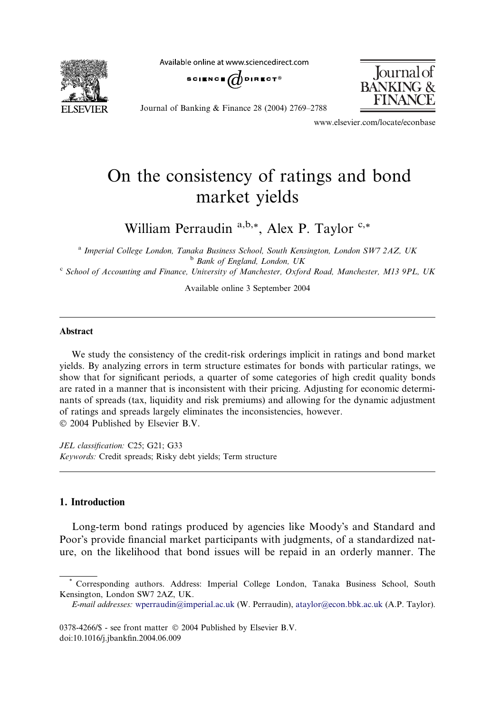Available online at www.sciencedirect.com



SCIENCE  $\bigoplus$  direct®



Journal of Banking & Finance 28 (2004) 2769–2788

www.elsevier.com/locate/econbase

## On the consistency of ratings and bond market yields

William Perraudin  $a,b,*$ , Alex P. Taylor  $c,*$ 

<sup>a</sup> Imperial College London, Tanaka Business School, South Kensington, London SW7 2AZ, UK <sup>b</sup> Bank of England, London, UK

 $c$  School of Accounting and Finance, University of Manchester, Oxford Road, Manchester, M13 9PL, UK

Available online 3 September 2004

## Abstract

We study the consistency of the credit-risk orderings implicit in ratings and bond market yields. By analyzing errors in term structure estimates for bonds with particular ratings, we show that for significant periods, a quarter of some categories of high credit quality bonds are rated in a manner that is inconsistent with their pricing. Adjusting for economic determinants of spreads (tax, liquidity and risk premiums) and allowing for the dynamic adjustment of ratings and spreads largely eliminates the inconsistencies, however. 2004 Published by Elsevier B.V.

JEL classification: C25; G21; G33 Keywords: Credit spreads; Risky debt yields; Term structure

## 1. Introduction

Long-term bond ratings produced by agencies like Moody's and Standard and Poor's provide financial market participants with judgments, of a standardized nature, on the likelihood that bond issues will be repaid in an orderly manner. The

0378-4266/\$ - see front matter  $\odot$  2004 Published by Elsevier B.V. doi:10.1016/j.jbankfin.2004.06.009

<sup>\*</sup> Corresponding authors. Address: Imperial College London, Tanaka Business School, South Kensington, London SW7 2AZ, UK.

E-mail addresses: [wperraudin@imperial.ac.uk](mailto:wperraudin@imperial.ac.uk ) (W. Perraudin), [ataylor@econ.bbk.ac.uk](mailto:ataylor@econ.bbk.ac.uk ) (A.P. Taylor).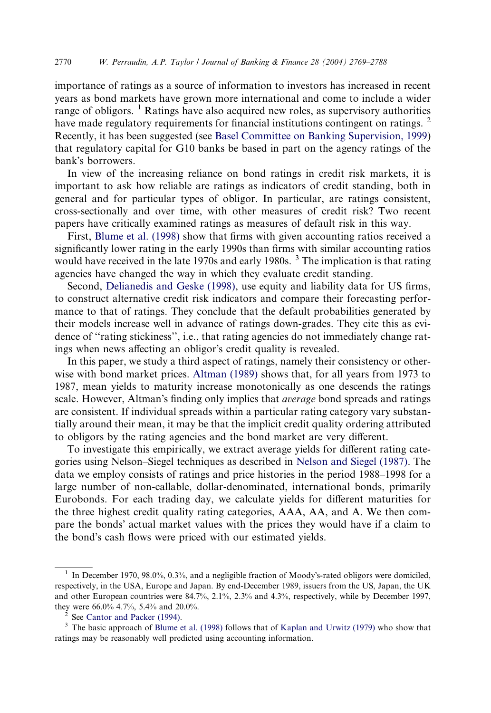importance of ratings as a source of information to investors has increased in recent years as bond markets have grown more international and come to include a wider range of obligors.  $\frac{1}{1}$  Ratings have also acquired new roles, as supervisory authorities have made regulatory requirements for financial institutions contingent on ratings.  $<sup>2</sup>$ </sup> Recently, it has been suggested (see [Basel Committee on Banking Supervision, 1999\)](#page--1-0) that regulatory capital for G10 banks be based in part on the agency ratings of the bank's borrowers.

In view of the increasing reliance on bond ratings in credit risk markets, it is important to ask how reliable are ratings as indicators of credit standing, both in general and for particular types of obligor. In particular, are ratings consistent, cross-sectionally and over time, with other measures of credit risk? Two recent papers have critically examined ratings as measures of default risk in this way.

First, [Blume et al. \(1998\)](#page--1-0) show that firms with given accounting ratios received a significantly lower rating in the early 1990s than firms with similar accounting ratios would have received in the late 1970s and early 1980s.<sup>3</sup> The implication is that rating agencies have changed the way in which they evaluate credit standing.

Second, [Delianedis and Geske \(1998\)](#page--1-0), use equity and liability data for US firms, to construct alternative credit risk indicators and compare their forecasting performance to that of ratings. They conclude that the default probabilities generated by their models increase well in advance of ratings down-grades. They cite this as evidence of ''rating stickiness'', i.e., that rating agencies do not immediately change ratings when news affecting an obligor's credit quality is revealed.

In this paper, we study a third aspect of ratings, namely their consistency or otherwise with bond market prices. [Altman \(1989\)](#page--1-0) shows that, for all years from 1973 to 1987, mean yields to maturity increase monotonically as one descends the ratings scale. However, Altman's finding only implies that *average* bond spreads and ratings are consistent. If individual spreads within a particular rating category vary substantially around their mean, it may be that the implicit credit quality ordering attributed to obligors by the rating agencies and the bond market are very different.

To investigate this empirically, we extract average yields for different rating categories using Nelson–Siegel techniques as described in [Nelson and Siegel \(1987\).](#page--1-0) The data we employ consists of ratings and price histories in the period 1988–1998 for a large number of non-callable, dollar-denominated, international bonds, primarily Eurobonds. For each trading day, we calculate yields for different maturities for the three highest credit quality rating categories, AAA, AA, and A. We then compare the bonds' actual market values with the prices they would have if a claim to the bond's cash flows were priced with our estimated yields.

<sup>&</sup>lt;sup>1</sup> In December 1970, 98.0%, 0.3%, and a negligible fraction of Moody's-rated obligors were domiciled, respectively, in the USA, Europe and Japan. By end-December 1989, issuers from the US, Japan, the UK and other European countries were 84.7%, 2.1%, 2.3% and 4.3%, respectively, while by December 1997, they were 66.0% 4.7%, 5.4% and 20.0%.<br><sup>2</sup> See [Cantor and Packer \(1994\).](#page--1-0)<br><sup>3</sup> The basic approach of [Blume et al. \(1998\)](#page--1-0) follows that of [Kaplan and Urwitz \(1979\)](#page--1-0) who show that

ratings may be reasonably well predicted using accounting information.